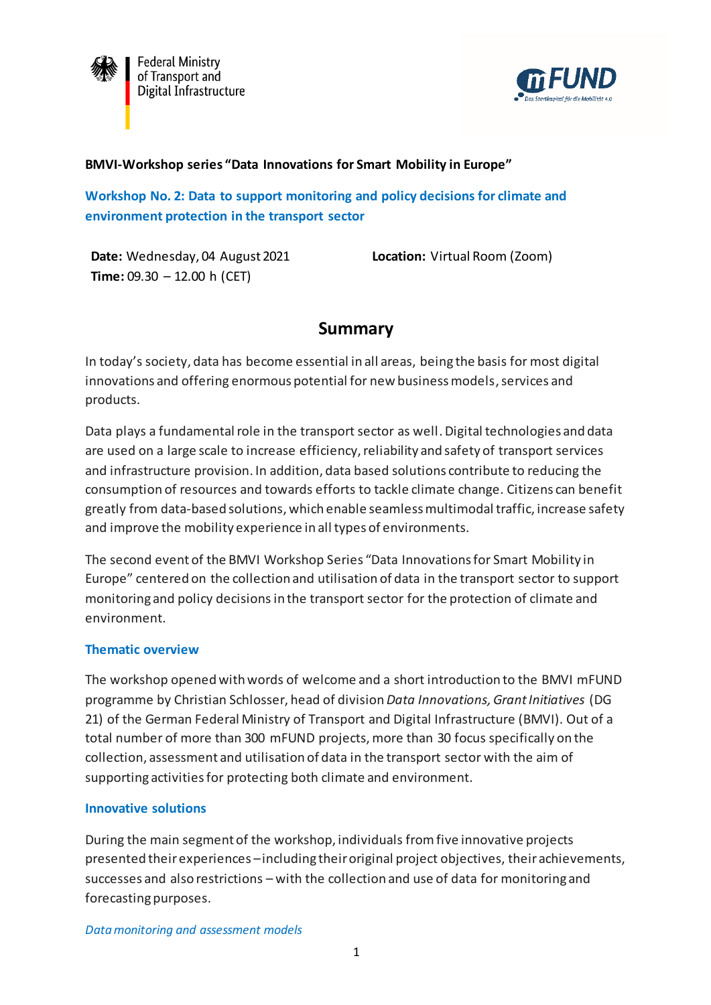

**Federal Ministry** of Transport and Digital Infrastructure



### **BMVI-Workshop series "Data Innovations for Smart Mobility in Europe"**

**Workshop No. 2: Data to support monitoring and policy decisions for climate and environment protection in the transport sector**

**Date:** Wednesday, 04 August 2021 **Time:** 09.30 – 12.00 h (CET)

**Location:** Virtual Room (Zoom)

# **Summary**

In today's society, data has become essential in all areas, being the basis for most digital innovations and offering enormous potential for new business models, services and products.

Data plays a fundamental role in the transport sector as well. Digital technologies and data are used on a large scale to increase efficiency, reliability and safety of transport services and infrastructure provision. In addition, data based solutions contribute to reducing the consumption of resources and towards efforts to tackle climate change. Citizens can benefit greatly from data-based solutions, which enable seamless multimodal traffic, increase safety and improve the mobility experience in all types of environments.

The second event of the BMVI Workshop Series "Data Innovations for Smart Mobility in Europe" centered on the collection and utilisation of data in the transport sector to support monitoring and policy decisions in the transport sector for the protection of climate and environment.

## **Thematic overview**

The workshop opened with words of welcome and a short introduction to the BMVI mFUND programme by Christian Schlosser, head of division *Data Innovations, Grant Initiatives* (DG 21) of the German Federal Ministry of Transport and Digital Infrastructure (BMVI). Out of a total number of more than 300 mFUND projects, more than 30 focus specifically on the collection, assessment and utilisation of data in the transport sector with the aim of supporting activities for protecting both climate and environment.

#### **Innovative solutions**

During the main segment of the workshop, individuals fromfive innovative projects presented their experiences –including their original project objectives, their achievements, successes and also restrictions – with the collection and use of data for monitoring and forecasting purposes.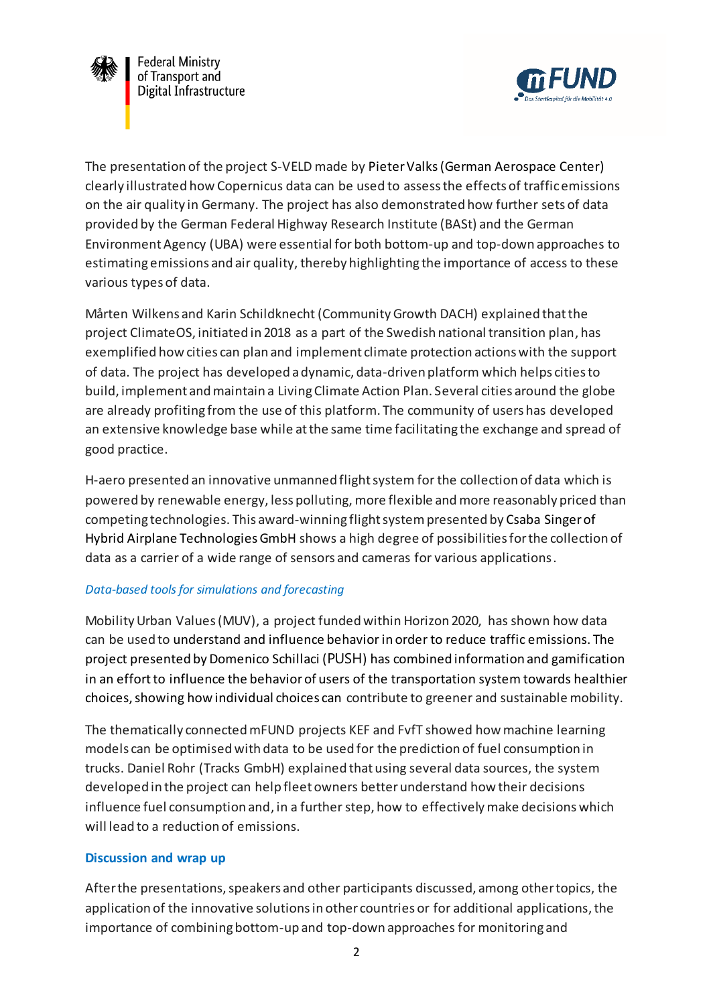

The presentation of the project S-VELD made by Pieter Valks(German Aerospace Center) clearly illustrated how Copernicus data can be used to assess the effects of traffic emissions on the air quality in Germany. The project has also demonstrated how further sets of data provided by the German Federal Highway Research Institute (BASt) and the German Environment Agency (UBA) were essential for both bottom-up and top-down approaches to estimating emissions and air quality, thereby highlighting the importance of access to these various types of data.

Mårten Wilkens and Karin Schildknecht (Community Growth DACH) explained that the project ClimateOS, initiated in 2018 as a part of the Swedish national transition plan, has exemplified how cities can plan and implement climate protection actions with the support of data. The project has developed a dynamic, data-driven platform which helps cities to build, implement and maintain a Living Climate Action Plan. Several cities around the globe are already profiting from the use of this platform. The community of users has developed an extensive knowledge base while at the same time facilitating the exchange and spread of good practice.

H-aero presented an innovative unmanned flight system for the collection of data which is powered by renewable energy, less polluting, more flexible and more reasonably priced than competing technologies. This award-winning flight system presented by Csaba Singer of Hybrid Airplane Technologies GmbH shows a high degree of possibilities for the collection of data as a carrier of a wide range of sensors and cameras for various applications.

## *Data-based tools for simulations and forecasting*

Mobility Urban Values (MUV), a project funded within Horizon 2020, has shown how data can be used to understand and influence behavior in order to reduce traffic emissions. The project presented by Domenico Schillaci (PUSH) has combined information and gamification in an effort to influence the behavior of users of the transportation system towards healthier choices, showing how individual choices can contribute to greener and sustainable mobility.

The thematically connected mFUND projects KEF and FvfT showed how machine learning models can be optimised with data to be used for the prediction of fuel consumption in trucks. Daniel Rohr (Tracks GmbH) explained that using several data sources, the system developed in the project can help fleet owners better understand how their decisions influence fuel consumption and, in a further step, how to effectively make decisions which will lead to a reduction of emissions.

#### **Discussion and wrap up**

After the presentations, speakers and other participants discussed, among other topics, the application of the innovative solutions in other countries or for additional applications, the importance of combining bottom-up and top-down approaches for monitoring and